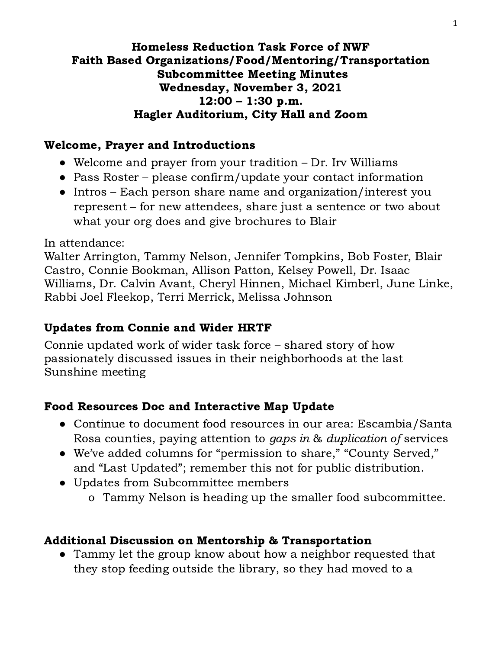#### Homeless Reduction Task Force of NWF Faith Based Organizations/Food/Mentoring/Transportation Subcommittee Meeting Minutes Wednesday, November 3, 2021 12:00 – 1:30 p.m. Hagler Auditorium, City Hall and Zoom

# Welcome, Prayer and Introductions

- Welcome and prayer from your tradition Dr. Irv Williams
- Pass Roster please confirm/update your contact information
- Intros Each person share name and organization/interest you represent – for new attendees, share just a sentence or two about what your org does and give brochures to Blair

In attendance:

Walter Arrington, Tammy Nelson, Jennifer Tompkins, Bob Foster, Blair Castro, Connie Bookman, Allison Patton, Kelsey Powell, Dr. Isaac Williams, Dr. Calvin Avant, Cheryl Hinnen, Michael Kimberl, June Linke, Rabbi Joel Fleekop, Terri Merrick, Melissa Johnson

### Updates from Connie and Wider HRTF

Connie updated work of wider task force – shared story of how passionately discussed issues in their neighborhoods at the last Sunshine meeting

### Food Resources Doc and Interactive Map Update

- Continue to document food resources in our area: Escambia/Santa Rosa counties, paying attention to gaps in & duplication of services
- We've added columns for "permission to share," "County Served," and "Last Updated"; remember this not for public distribution.
- Updates from Subcommittee members
	- o Tammy Nelson is heading up the smaller food subcommittee.

### Additional Discussion on Mentorship & Transportation

• Tammy let the group know about how a neighbor requested that they stop feeding outside the library, so they had moved to a